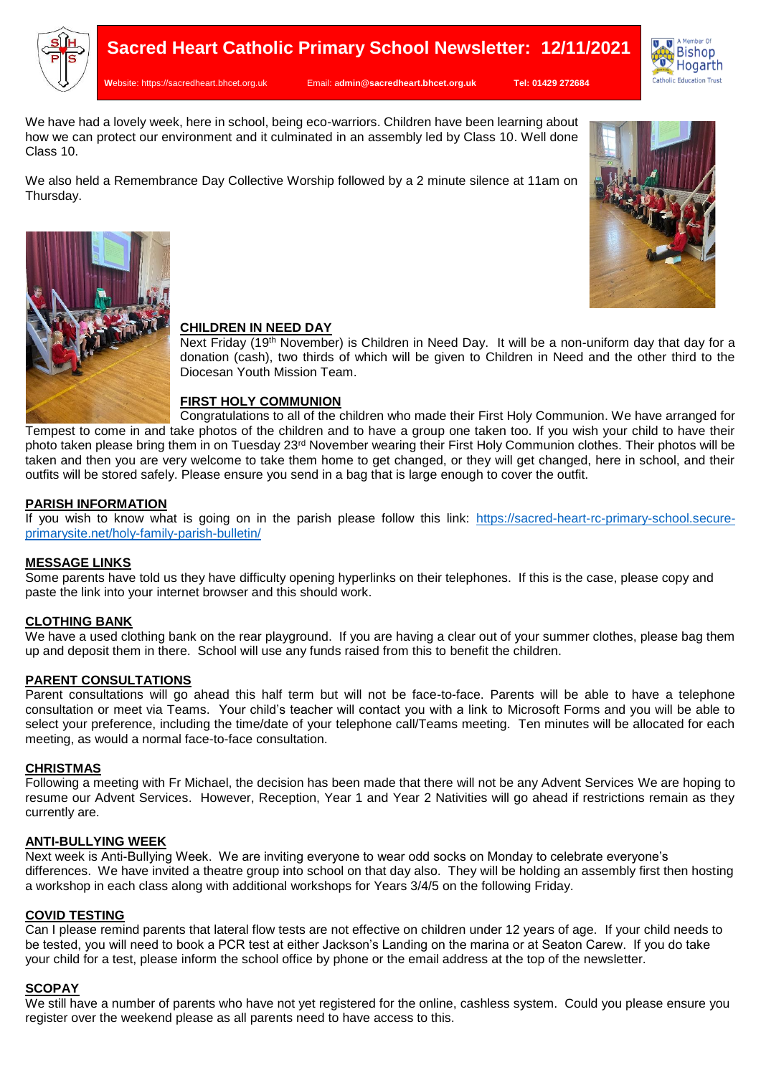

**W**ebsite: [https://sacredheart.bhcet.org.uk](https://sacredheart.bhcet.org.uk/) Email: a**[dmin@sacredheart.bhcet.org.uk](mailto:admin@sacredheart.bhcet.org.uk) Tel: 01429 272684**



We have had a lovely week, here in school, being eco-warriors. Children have been learning about how we can protect our environment and it culminated in an assembly led by Class 10. Well done Class 10.

We also held a Remembrance Day Collective Worship followed by a 2 minute silence at 11am on Thursday.





### **CHILDREN IN NEED DAY**

Next Friday (19th November) is Children in Need Day. It will be a non-uniform day that day for a donation (cash), two thirds of which will be given to Children in Need and the other third to the Diocesan Youth Mission Team.

### **FIRST HOLY COMMUNION**

Congratulations to all of the children who made their First Holy Communion. We have arranged for Tempest to come in and take photos of the children and to have a group one taken too. If you wish your child to have their photo taken please bring them in on Tuesday 23rd November wearing their First Holy Communion clothes. Their photos will be taken and then you are very welcome to take them home to get changed, or they will get changed, here in school, and their outfits will be stored safely. Please ensure you send in a bag that is large enough to cover the outfit.

### **PARISH INFORMATION**

If you wish to know what is going on in the parish please follow this link: [https://sacred-heart-rc-primary-school.secure](https://sacred-heart-rc-primary-school.secure-primarysite.net/holy-family-parish-bulletin/)[primarysite.net/holy-family-parish-bulletin/](https://sacred-heart-rc-primary-school.secure-primarysite.net/holy-family-parish-bulletin/)

### **MESSAGE LINKS**

Some parents have told us they have difficulty opening hyperlinks on their telephones. If this is the case, please copy and paste the link into your internet browser and this should work.

### **CLOTHING BANK**

We have a used clothing bank on the rear playground. If you are having a clear out of your summer clothes, please bag them up and deposit them in there. School will use any funds raised from this to benefit the children.

### **PARENT CONSULTATIONS**

Parent consultations will go ahead this half term but will not be face-to-face. Parents will be able to have a telephone consultation or meet via Teams. Your child's teacher will contact you with a link to Microsoft Forms and you will be able to select your preference, including the time/date of your telephone call/Teams meeting. Ten minutes will be allocated for each meeting, as would a normal face-to-face consultation.

### **CHRISTMAS**

Following a meeting with Fr Michael, the decision has been made that there will not be any Advent Services We are hoping to resume our Advent Services. However, Reception, Year 1 and Year 2 Nativities will go ahead if restrictions remain as they currently are.

### **ANTI-BULLYING WEEK**

Next week is Anti-Bullying Week. We are inviting everyone to wear odd socks on Monday to celebrate everyone's differences. We have invited a theatre group into school on that day also. They will be holding an assembly first then hosting a workshop in each class along with additional workshops for Years 3/4/5 on the following Friday.

### **COVID TESTING**

Can I please remind parents that lateral flow tests are not effective on children under 12 years of age. If your child needs to be tested, you will need to book a PCR test at either Jackson's Landing on the marina or at Seaton Carew. If you do take your child for a test, please inform the school office by phone or the email address at the top of the newsletter.

### **SCOPAY**

We still have a number of parents who have not yet registered for the online, cashless system. Could you please ensure you register over the weekend please as all parents need to have access to this.